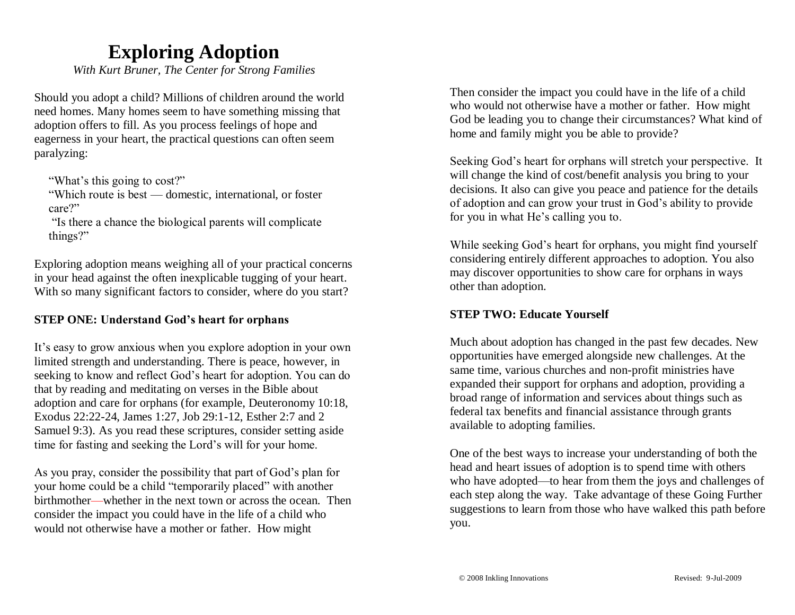## **Exploring Adoption**

*With Kurt Bruner, The Center for Strong Families*

Should you adopt a child? Millions of children around the world need homes. Many homes seem to have something missing that adoption offers to fill. As you process feelings of hope and eagerness in your heart, the practical questions can often seem paralyzing:

"What's this going to cost?"

"Which route is best — domestic, international, or foster care?"

"Is there a chance the biological parents will complicate things?"

Exploring adoption means weighing all of your practical concerns in your head against the often inexplicable tugging of your heart. With so many significant factors to consider, where do you start?

### **STEP ONE: Understand God's heart for orphans**

It's easy to grow anxious when you explore adoption in your own limited strength and understanding. There is peace, however, in seeking to know and reflect God's heart for adoption. You can do that by reading and meditating on verses in the Bible about adoption and care for orphans (for example, Deuteronomy 10:18, Exodus 22:22-24, James 1:27, Job 29:1-12, Esther 2:7 and 2 Samuel 9:3). As you read these scriptures, consider setting aside time for fasting and seeking the Lord's will for your home.

As you pray, consider the possibility that part of God's plan for your home could be a child "temporarily placed" with another birthmother—whether in the next town or across the ocean. Then consider the impact you could have in the life of a child who would not otherwise have a mother or father. How might

Then consider the impact you could have in the life of a child who would not otherwise have a mother or father. How might God be leading you to change their circumstances? What kind of home and family might you be able to provide?

Seeking God's heart for orphans will stretch your perspective. It will change the kind of cost/benefit analysis you bring to your decisions. It also can give you peace and patience for the details of adoption and can grow your trust in God's ability to provide for you in what He's calling you to.

While seeking God's heart for orphans, you might find yourself considering entirely different approaches to adoption. You also may discover opportunities to show care for orphans in ways other than adoption.

#### **STEP TWO: Educate Yourself**

Much about adoption has changed in the past few decades. New opportunities have emerged alongside new challenges. At the same time, various churches and non-profit ministries have expanded their support for orphans and adoption, providing a broad range of information and services about things such as federal tax benefits and financial assistance through grants available to adopting families.

One of the best ways to increase your understanding of both the head and heart issues of adoption is to spend time with others who have adopted—to hear from them the joys and challenges of each step along the way. Take advantage of these Going Further suggestions to learn from those who have walked this path before you.